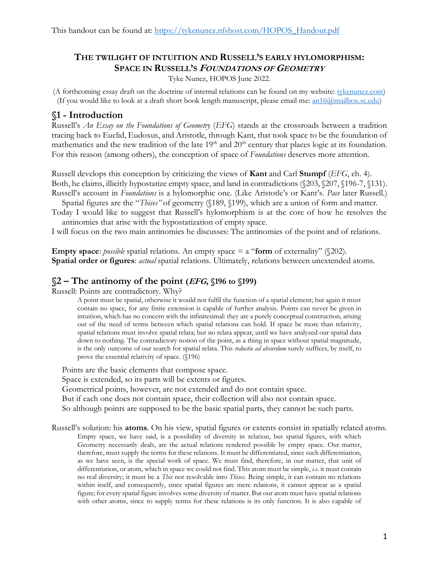# **THE TWILIGHT OF INTUITION AND RUSSELL'S EARLY HYLOMORPHISM: SPACE IN RUSSELL'S FOUNDATIONS OF GEOMETRY**

Tyke Nunez, HOPOS June 2022.

(A forthcoming essay draft on the doctrine of internal relations can be found on my website: [tykenunez.com\)](http://tykenunez.com/) (If you would like to look at a draft short book length manuscript, please email me: [an16@mailbox.sc.edu\)](mailto:an16@mailbox.sc.edu)

#### **§1 - Introduction**

Russell's *An Essay on the Foundations of Geometry* (*EFG*) stands at the crossroads between a tradition tracing back to Euclid, Eudoxus, and Aristotle, through Kant, that took space to be the foundation of mathematics and the new tradition of the late  $19<sup>th</sup>$  and  $20<sup>th</sup>$  century that places logic at its foundation. For this reason (among others), the conception of space of *Foundations* deserves more attention.

Russell develops this conception by criticizing the views of **Kant** and Carl **Stumpf** (*EFG*, ch. 4). Both, he claims, illicitly hypostatize empty space, and land in contradictions (§203, §207, §196-7, §131). Russell's account in *Foundations* is a hylomorphic one. (Like Aristotle's or Kant's. *Pace* later Russell.)

Spatial figures are the "*Thises"* of geometry (§189, §199), which are a union of form and matter*.*

Today I would like to suggest that Russell's hylomorphism is at the core of how he resolves the antinomies that arise with the hypostatization of empty space.

I will focus on the two main antinomies he discusses: The antinomies of the point and of relations.

**Empty space**: *possible* spatial relations. An empty space  $=$  a "**form** of externality" (\$202). **Spatial order or figures**: *actual* spatial relations. Ultimately, relations between unextended atoms.

#### **§2 – The antinomy of the point (EFG, §196 to §199)**

Russell: Points are contradictory. Why?

A point must be spatial, otherwise it would not fulfil the function of a spatial element; but again it must contain no space, for any finite extension is capable of further analysis. Points can never be given in intuition, which has no concern with the infinitesimal: they are a purely conceptual construction, arising out of the need of terms between which spatial relations can hold. If space be more than relativity, spatial relations must involve spatial relata; but no relata appear, until we have analyzed our spatial data down to nothing. The contradictory notion of the point, as a thing in space without spatial magnitude, is the only outcome of our search for spatial relata. This *reductio ad absurdum* surely suffices, by itself, to prove the essential relativity of space. (§196)

Points are the basic elements that compose space.

Space is extended, so its parts will be extents or figures.

Geometrical points, however, are not extended and do not contain space.

But if each one does not contain space, their collection will also not contain space.

So although points are supposed to be the basic spatial parts, they cannot be such parts.

Russell's solution: his **atoms**. On his view, spatial figures or extents consist in spatially related atoms. Empty space, we have said, is a possibility of diversity in relation, but spatial figures, with which Geometry necessarily deals, are the actual relations rendered possible by empty space. Our matter, therefore, must supply the terms for these relations. It must be differentiated, since such differentiation, as we have seen, is the special work of space. We must find, therefore, in our matter, that unit of differentiation, or atom, which in space we could not find. This atom must be simple, *i.e.* it must contain no real diversity; it must be a *This* not resolvable into *Thises.* Being simple, it can contain no relations within itself, and consequently, since spatial figures are mere relations, it cannot appear as a spatial figure; for every spatial figure involves some diversity of matter. But our atom must have spatial relations with other atoms, since to supply terms for these relations is its only function. It is also capable of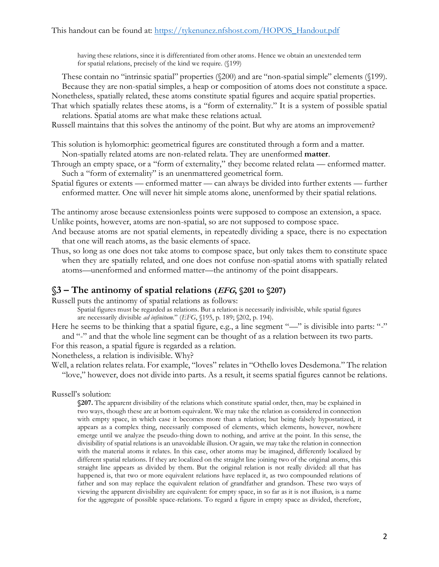having these relations, since it is differentiated from other atoms. Hence we obtain an unextended term for spatial relations, precisely of the kind we require. (§199)

These contain no "intrinsic spatial" properties (§200) and are "non-spatial simple" elements (§199). Because they are non-spatial simples, a heap or composition of atoms does not constitute a space.

Nonetheless, spatially related, these atoms constitute spatial figures and acquire spatial properties.

That which spatially relates these atoms, is a "form of externality." It is a system of possible spatial relations. Spatial atoms are what make these relations actual.

Russell maintains that this solves the antinomy of the point. But why are atoms an improvement?

This solution is hylomorphic: geometrical figures are constituted through a form and a matter. Non-spatially related atoms are non-related relata. They are unenformed **matter**.

Through an empty space, or a "form of externality," they become related relata — enformed matter. Such a "form of externality" is an unenmattered geometrical form.

Spatial figures or extents — enformed matter — can always be divided into further extents — further enformed matter. One will never hit simple atoms alone, unenformed by their spatial relations.

The antinomy arose because extensionless points were supposed to compose an extension, a space. Unlike points, however, atoms are non-spatial, so are not supposed to compose space.

- And because atoms are not spatial elements, in repeatedly dividing a space, there is no expectation that one will reach atoms, as the basic elements of space.
- Thus, so long as one does not take atoms to compose space, but only takes them to constitute space when they are spatially related, and one does not confuse non-spatial atoms with spatially related atoms—unenformed and enformed matter—the antinomy of the point disappears.

### **§3 – The antinomy of spatial relations (EFG, §201 to §207)**

Russell puts the antinomy of spatial relations as follows:

Spatial figures must be regarded as relations. But a relation is necessarily indivisible, while spatial figures are necessarily divisible *ad infinitum.*" (*EFG*, §195, p. 189; §202, p. 194).

Here he seems to be thinking that a spatial figure, e.g., a line segment "-" is divisible into parts: "-" and "-" and that the whole line segment can be thought of as a relation between its two parts.

For this reason, a spatial figure is regarded as a relation.

Nonetheless, a relation is indivisible. Why?

Well, a relation relates relata. For example, "loves" relates in "Othello loves Desdemona." The relation "love," however, does not divide into parts. As a result, it seems spatial figures cannot be relations.

Russell's solution:

**§207.** The apparent divisibility of the relations which constitute spatial order, then, may be explained in two ways, though these are at bottom equivalent. We may take the relation as considered in connection with empty space, in which case it becomes more than a relation; but being falsely hypostatized, it appears as a complex thing, necessarily composed of elements, which elements, however, nowhere emerge until we analyze the pseudo-thing down to nothing, and arrive at the point. In this sense, the divisibility of spatial relations is an unavoidable illusion. Or again, we may take the relation in connection with the material atoms it relates. In this case, other atoms may be imagined, differently localized by different spatial relations. If they are localized on the straight line joining two of the original atoms, this straight line appears as divided by them. But the original relation is not really divided: all that has happened is, that two or more equivalent relations have replaced it, as two compounded relations of father and son may replace the equivalent relation of grandfather and grandson. These two ways of viewing the apparent divisibility are equivalent: for empty space, in so far as it is not illusion, is a name for the aggregate of possible space-relations. To regard a figure in empty space as divided, therefore,